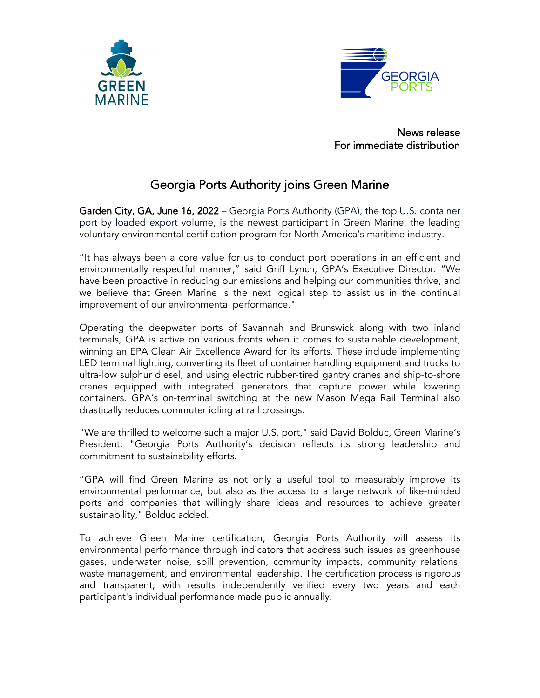



News release For immediate distribution

## Georgia Ports Authority joins Green Marine

Garden City, GA, June 16, 2022 - Georgia Ports Authority (GPA), the top U.S. container port by loaded export volume, is the newest participant in Green Marine, the leading voluntary environmental certification program for North America's maritime industry.

"It has always been a core value for us to conduct port operations in an efficient and environmentally respectful manner," said Griff Lynch, GPA's Executive Director. "We have been proactive in reducing our emissions and helping our communities thrive, and we believe that Green Marine is the next logical step to assist us in the continual improvement of our environmental performance."

Operating the deepwater ports of Savannah and Brunswick along with two inland terminals, GPA is active on various fronts when it comes to sustainable development, winning an EPA Clean Air Excellence Award for its efforts. These include implementing LED terminal lighting, converting its fleet of container handling equipment and trucks to ultra-low sulphur diesel, and using electric rubber-tired gantry cranes and ship-to-shore cranes equipped with integrated generators that capture power while lowering containers. GPA's on-terminal switching at the new Mason Mega Rail Terminal also drastically reduces commuter idling at rail crossings.

"We are thrilled to welcome such a major U.S. port," said David Bolduc, Green Marine's President. "Georgia Ports Authority's decision reflects its strong leadership and commitment to sustainability efforts.

"GPA will find Green Marine as not only a useful tool to measurably improve its environmental performance, but also as the access to a large network of like-minded ports and companies that willingly share ideas and resources to achieve greater sustainability," Bolduc added.

To achieve Green Marine certification, Georgia Ports Authority will assess its environmental performance through indicators that address such issues as greenhouse gases, underwater noise, spill prevention, community impacts, community relations, waste management, and environmental leadership. The certification process is rigorous and transparent, with results independently verified every two years and each participant's individual performance made public annually.